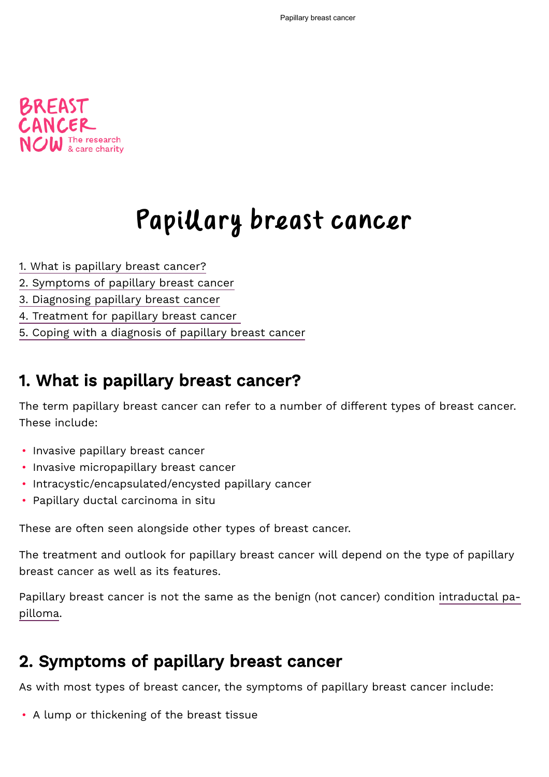

# Papillary breast cancer

- [1. What is papillary breast cancer?](#page-0-0)
- [2. Symptoms of papillary breast cancer](#page-0-1)
- [3. Diagnosing papillary breast cancer](#page-1-0)
- [4. Treatment for papillary breast cancer](#page-1-1)
- [5. Coping with a diagnosis of papillary breast cancer](#page-4-0)

# <span id="page-0-0"></span>1. What is papillary breast cancer?

The term papillary breast cancer can refer to a number of different types of breast cancer. These include:

- Invasive papillary breast cancer
- Invasive micropapillary breast cancer
- Intracystic/encapsulated/encysted papillary cancer
- Papillary ductal carcinoma in situ

These are often seen alongside other types of breast cancer.

The treatment and outlook for papillary breast cancer will depend on the type of papillary breast cancer as well as its features.

[Papillary breast cancer is not the same as the benign \(not cancer\) condition intraductal pa](https://breastcancernow.org/information-support/have-i-got-breast-cancer/benign-breast-conditions/intraductal-papilloma)pilloma.

# <span id="page-0-1"></span>2. Symptoms of papillary breast cancer

As with most types of breast cancer, the symptoms of papillary breast cancer include:

• A lump or thickening of the breast tissue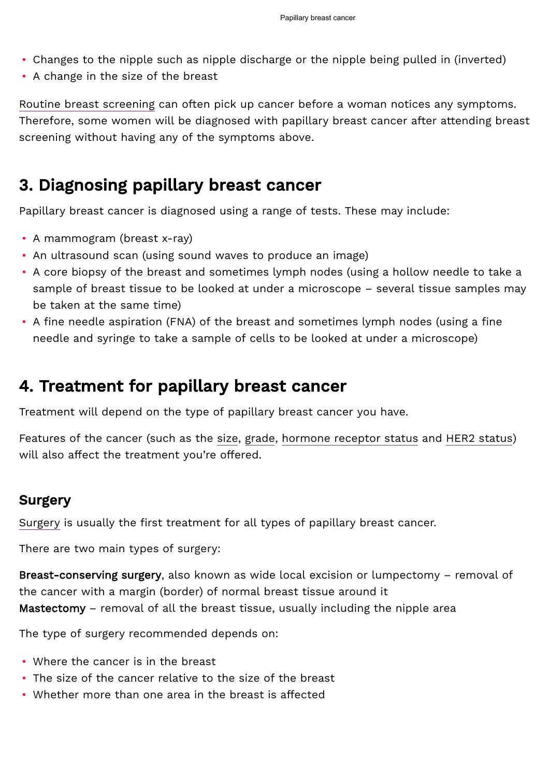- Changes to the nipple such as nipple discharge or the nipple being pulled in (inverted)
- A change in the size of the breast

[Routine breast screening](https://breastcancernow.org/information-support/facing-breast-cancer/what-expect-breast-clinic-appointment/breast-screening) can often pick up cancer before a woman notices any symptoms. Therefore, some women will be diagnosed with papillary breast cancer after attending breast screening without having any of the symptoms above.

# <span id="page-1-0"></span>3. Diagnosing papillary breast cancer

Papillary breast cancer is diagnosed using a range of tests. These may include:

- A mammogram (breast x-ray)
- An ultrasound scan (using sound waves to produce an image)
- A core biopsy of the breast and sometimes lymph nodes (using a hollow needle to take a sample of breast tissue to be looked at under a microscope – several tissue samples may be taken at the same time)
- A fine needle aspiration (FNA) of the breast and sometimes lymph nodes (using a fine needle and syringe to take a sample of cells to be looked at under a microscope)

# <span id="page-1-1"></span>4. Treatment for papillary breast cancer

Treatment will depend on the type of papillary breast cancer you have.

Features of the cancer (such as the [size,](https://breastcancernow.org/information-support/facing-breast-cancer/diagnosed-breast-cancer/breast-cancer-size) [grade](https://breastcancernow.org/information-support/facing-breast-cancer/diagnosed-breast-cancer/cancer-grade), [hormone receptor status](https://breastcancernow.org/information-support/facing-breast-cancer/diagnosed-breast-cancer/hormone-receptors-breast-cancer) and [HER2 status\)](https://breastcancernow.org/information-support/facing-breast-cancer/diagnosed-breast-cancer/her2) will also affect the treatment you're offered.

## Surgery

[Surgery](https://breastcancernow.org/information-support/facing-breast-cancer/going-through-treatment-breast-cancer/surgery) is usually the first treatment for all types of papillary breast cancer.

There are two main types of surgery:

Breast-conserving surgery, also known as wide local excision or lumpectomy – removal of the cancer with a margin (border) of normal breast tissue around it Mastectomy – removal of all the breast tissue, usually including the nipple area

The type of surgery recommended depends on:

- Where the cancer is in the breast
- The size of the cancer relative to the size of the breast
- Whether more than one area in the breast is affected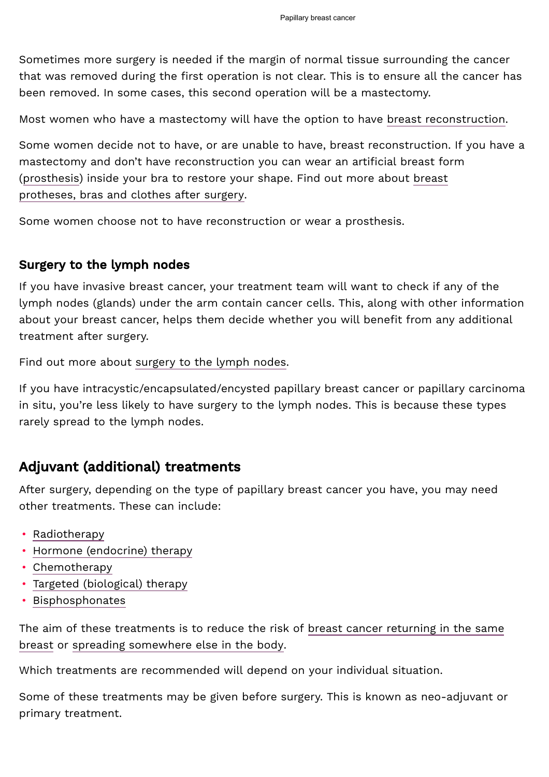Sometimes more surgery is needed if the margin of normal tissue surrounding the cancer that was removed during the first operation is not clear. This is to ensure all the cancer has been removed. In some cases, this second operation will be a mastectomy.

Most women who have a mastectomy will have the option to have [breast reconstruction.](https://breastcancernow.org/information-support/facing-breast-cancer/living-beyond-breast-cancer/breast-reconstruction)

Some women decide not to have, or are unable to have, breast reconstruction. If you have a mastectomy and don't have reconstruction you can wear an artificial breast form [\(prosthesis\) inside your bra to restore your shape. Find out more about breast](https://breastcancernow.org/information-support/facing-breast-cancer/living-beyond-breast-cancer/your-body/breast-prosthesis) protheses, bras and clothes after surgery.

Some women choose not to have reconstruction or wear a prosthesis.

## Surgery to the lymph nodes

If you have invasive breast cancer, your treatment team will want to check if any of the lymph nodes (glands) under the arm contain cancer cells. This, along with other information about your breast cancer, helps them decide whether you will benefit from any additional treatment after surgery.

Find out more about [surgery to the lymph nodes.](https://breastcancernow.org/information-support/facing-breast-cancer/going-through-treatment-breast-cancer/surgery)

If you have intracystic/encapsulated/encysted papillary breast cancer or papillary carcinoma in situ, you're less likely to have surgery to the lymph nodes. This is because these types rarely spread to the lymph nodes.

# Adjuvant (additional) treatments

After surgery, depending on the type of papillary breast cancer you have, you may need other treatments. These can include:

- [Radiotherapy](https://breastcancernow.org/information-support/facing-breast-cancer/going-through-breast-cancer-treatment/radiotherapy-primary)
- [Hormone \(endocrine\) therapy](https://breastcancernow.org/information-support/facing-breast-cancer/going-through-treatment-breast-cancer/hormone-therapy)
- [Chemotherapy](https://breastcancernow.org/information-support/facing-breast-cancer/going-through-treatment-breast-cancer/chemotherapy)
- [Targeted \(biological\) therapy](https://breastcancernow.org/information-support/facing-breast-cancer/going-through-treatment-breast-cancer/targeted-therapy)
- [Bisphosphonates](https://breastcancernow.org/information-support/facing-breast-cancer/going-through-breast-cancer-treatment/bisphosphonates)

[The aim of these treatments is to reduce the risk of breast cancer returning in the same](https://breastcancernow.org/information-support/facing-breast-cancer/diagnosed-breast-cancer/your-primary-cancer-has-come-back-recurrence) breast or [spreading somewhere else in the body.](https://breastcancernow.org/information-support/support-you/secondary-metastatic-breast-cancer)

Which treatments are recommended will depend on your individual situation.

Some of these treatments may be given before surgery. This is known as neo-adjuvant or primary treatment.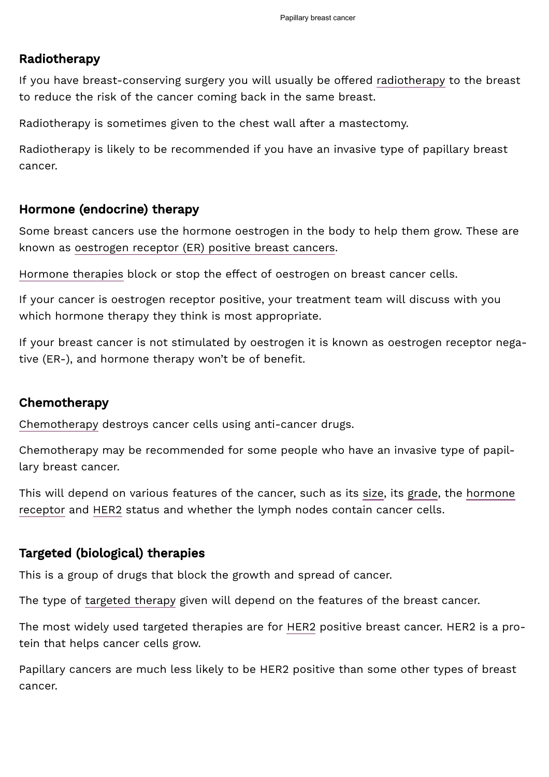## Radiotherapy

If you have breast-conserving surgery you will usually be offered [radiotherapy](https://breastcancernow.org/information-support/facing-breast-cancer/going-through-breast-cancer-treatment/radiotherapy-primary) to the breast to reduce the risk of the cancer coming back in the same breast.

Radiotherapy is sometimes given to the chest wall after a mastectomy.

Radiotherapy is likely to be recommended if you have an invasive type of papillary breast cancer.

### Hormone (endocrine) therapy

Some breast cancers use the hormone oestrogen in the body to help them grow. These are known as [oestrogen receptor \(ER\) positive breast cancers.](https://breastcancernow.org/information-support/facing-breast-cancer/diagnosed-breast-cancer/hormone-receptors-breast-cancer)

[Hormone therapies](https://breastcancernow.org/information-support/facing-breast-cancer/going-through-treatment-breast-cancer/hormone-therapy) block or stop the effect of oestrogen on breast cancer cells.

If your cancer is oestrogen receptor positive, your treatment team will discuss with you which hormone therapy they think is most appropriate.

If your breast cancer is not stimulated by oestrogen it is known as oestrogen receptor negative (ER-), and hormone therapy won't be of benefit.

## Chemotherapy

[Chemotherapy](https://breastcancernow.org/information-support/facing-breast-cancer/going-through-treatment-breast-cancer/chemotherapy) destroys cancer cells using anti-cancer drugs.

Chemotherapy may be recommended for some people who have an invasive type of papillary breast cancer.

[This will depend on various features of the cancer, such as its s](https://breastcancernow.org/information-support/facing-breast-cancer/diagnosed-breast-cancer/hormone-receptors-breast-cancer)[iz](https://breastcancernow.org/information-support/facing-breast-cancer/diagnosed-breast-cancer/breast-cancer-size)[e, its](https://breastcancernow.org/information-support/facing-breast-cancer/diagnosed-breast-cancer/hormone-receptors-breast-cancer) [grad](https://breastcancernow.org/information-support/facing-breast-cancer/diagnosed-breast-cancer/cancer-grade)[e, the hormone](https://breastcancernow.org/information-support/facing-breast-cancer/diagnosed-breast-cancer/hormone-receptors-breast-cancer) receptor and [HER2](https://breastcancernow.org/information-support/facing-breast-cancer/diagnosed-breast-cancer/her2) status and whether the lymph nodes contain cancer cells.

### Targeted (biological) therapies

This is a group of drugs that block the growth and spread of cancer.

The type of [targeted therapy](https://breastcancernow.org/information-support/facing-breast-cancer/going-through-treatment-breast-cancer/targeted-therapy) given will depend on the features of the breast cancer.

The most widely used targeted therapies are for [HER2](https://breastcancernow.org/information-support/facing-breast-cancer/diagnosed-breast-cancer/her2) positive breast cancer. HER2 is a protein that helps cancer cells grow.

Papillary cancers are much less likely to be HER2 positive than some other types of breast cancer.